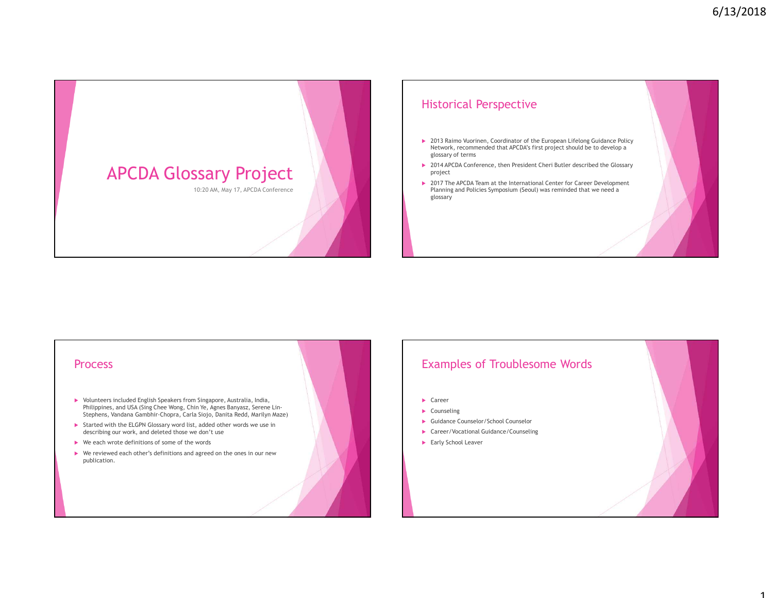





## Examples of Troublesome Words

- ▶ Career
- **Counseling**
- Guidance Counselor/School Counselor
- Career/Vocational Guidance/Counseling
- ▶ Early School Leaver